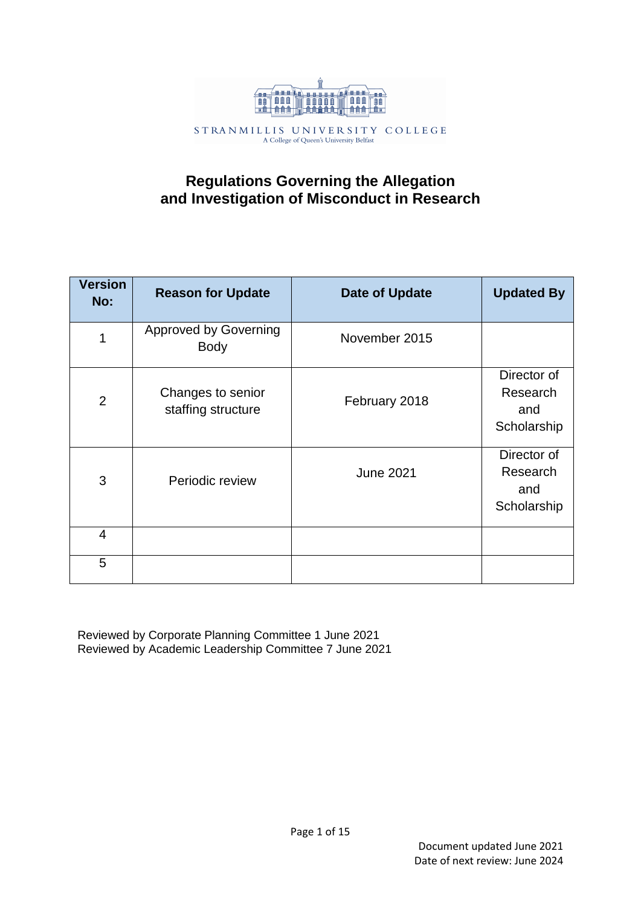

# **Regulations Governing the Allegation and Investigation of Misconduct in Research**

| <b>Version</b><br>No: | <b>Reason for Update</b>                    | <b>Date of Update</b> | <b>Updated By</b>                             |
|-----------------------|---------------------------------------------|-----------------------|-----------------------------------------------|
| $\mathbf 1$           | <b>Approved by Governing</b><br><b>Body</b> | November 2015         |                                               |
| $\overline{2}$        | Changes to senior<br>staffing structure     | February 2018         | Director of<br>Research<br>and<br>Scholarship |
| 3                     | Periodic review                             | <b>June 2021</b>      | Director of<br>Research<br>and<br>Scholarship |
| $\overline{4}$        |                                             |                       |                                               |
| 5                     |                                             |                       |                                               |

Reviewed by Corporate Planning Committee 1 June 2021 Reviewed by Academic Leadership Committee 7 June 2021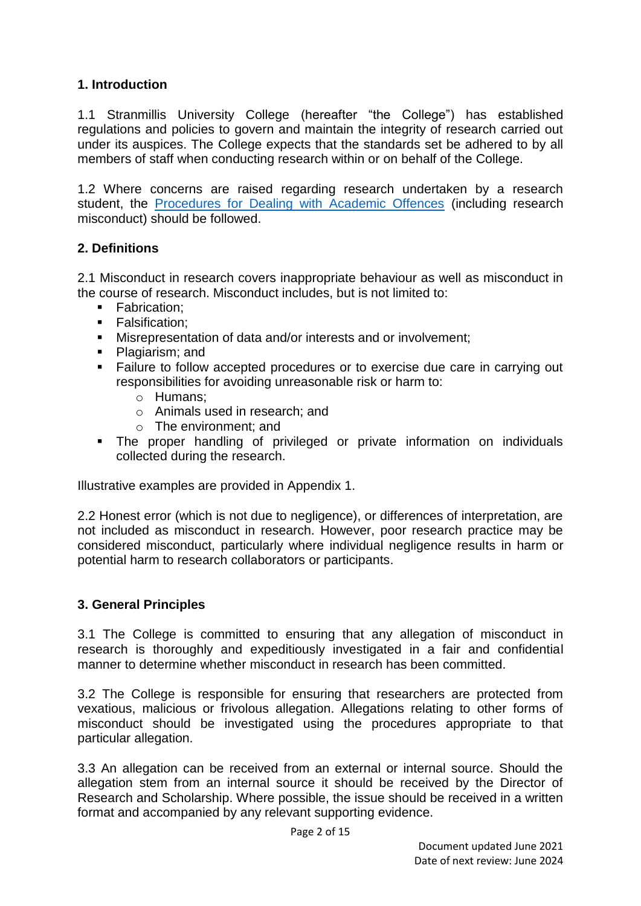## **1. Introduction**

1.1 Stranmillis University College (hereafter "the College") has established regulations and policies to govern and maintain the integrity of research carried out under its auspices. The College expects that the standards set be adhered to by all members of staff when conducting research within or on behalf of the College.

1.2 Where concerns are raised regarding research undertaken by a research student, the [Procedures for Dealing with Academic Offences](https://www.qub.ac.uk/directorates/AcademicStudentAffairs/AcademicAffairs/GeneralRegulations/Procedures/ProceduresforDealingwithAcademicOffences/) (including research misconduct) should be followed.

## **2. Definitions**

2.1 Misconduct in research covers inappropriate behaviour as well as misconduct in the course of research. Misconduct includes, but is not limited to:

- **Fabrication;**
- **Falsification:**
- Misrepresentation of data and/or interests and or involvement;
- Plagiarism: and
- Failure to follow accepted procedures or to exercise due care in carrying out responsibilities for avoiding unreasonable risk or harm to:
	- o Humans;
	- o Animals used in research; and
	- o The environment; and
- The proper handling of privileged or private information on individuals collected during the research.

Illustrative examples are provided in Appendix 1.

2.2 Honest error (which is not due to negligence), or differences of interpretation, are not included as misconduct in research. However, poor research practice may be considered misconduct, particularly where individual negligence results in harm or potential harm to research collaborators or participants.

## **3. General Principles**

3.1 The College is committed to ensuring that any allegation of misconduct in research is thoroughly and expeditiously investigated in a fair and confidential manner to determine whether misconduct in research has been committed.

3.2 The College is responsible for ensuring that researchers are protected from vexatious, malicious or frivolous allegation. Allegations relating to other forms of misconduct should be investigated using the procedures appropriate to that particular allegation.

3.3 An allegation can be received from an external or internal source. Should the allegation stem from an internal source it should be received by the Director of Research and Scholarship. Where possible, the issue should be received in a written format and accompanied by any relevant supporting evidence.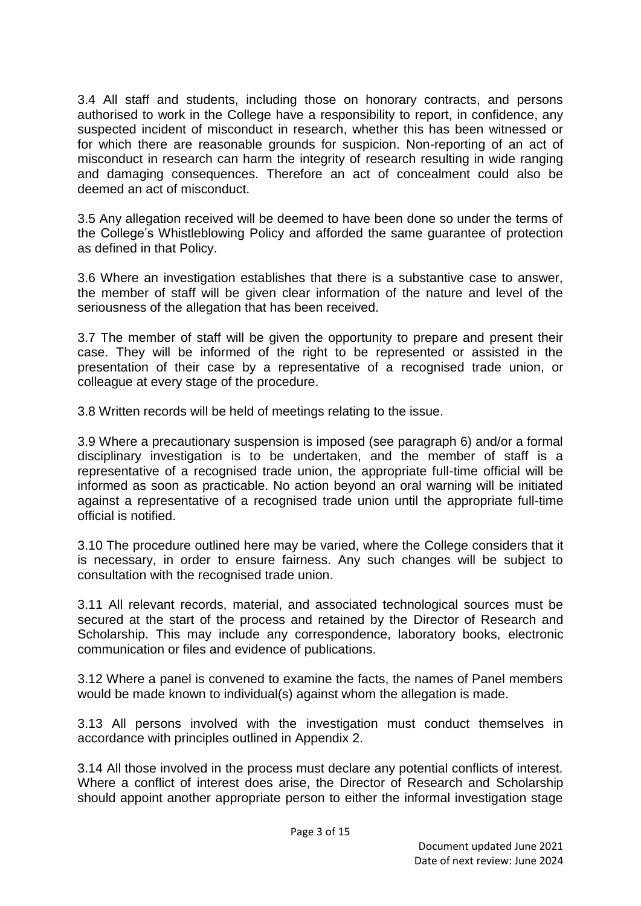3.4 All staff and students, including those on honorary contracts, and persons authorised to work in the College have a responsibility to report, in confidence, any suspected incident of misconduct in research, whether this has been witnessed or for which there are reasonable grounds for suspicion. Non-reporting of an act of misconduct in research can harm the integrity of research resulting in wide ranging and damaging consequences. Therefore an act of concealment could also be deemed an act of misconduct.

3.5 Any allegation received will be deemed to have been done so under the terms of the College's Whistleblowing Policy and afforded the same guarantee of protection as defined in that Policy.

3.6 Where an investigation establishes that there is a substantive case to answer, the member of staff will be given clear information of the nature and level of the seriousness of the allegation that has been received.

3.7 The member of staff will be given the opportunity to prepare and present their case. They will be informed of the right to be represented or assisted in the presentation of their case by a representative of a recognised trade union, or colleague at every stage of the procedure.

3.8 Written records will be held of meetings relating to the issue.

3.9 Where a precautionary suspension is imposed (see paragraph 6) and/or a formal disciplinary investigation is to be undertaken, and the member of staff is a representative of a recognised trade union, the appropriate full-time official will be informed as soon as practicable. No action beyond an oral warning will be initiated against a representative of a recognised trade union until the appropriate full-time official is notified.

3.10 The procedure outlined here may be varied, where the College considers that it is necessary, in order to ensure fairness. Any such changes will be subject to consultation with the recognised trade union.

3.11 All relevant records, material, and associated technological sources must be secured at the start of the process and retained by the Director of Research and Scholarship. This may include any correspondence, laboratory books, electronic communication or files and evidence of publications.

3.12 Where a panel is convened to examine the facts, the names of Panel members would be made known to individual(s) against whom the allegation is made.

3.13 All persons involved with the investigation must conduct themselves in accordance with principles outlined in Appendix 2.

3.14 All those involved in the process must declare any potential conflicts of interest. Where a conflict of interest does arise, the Director of Research and Scholarship should appoint another appropriate person to either the informal investigation stage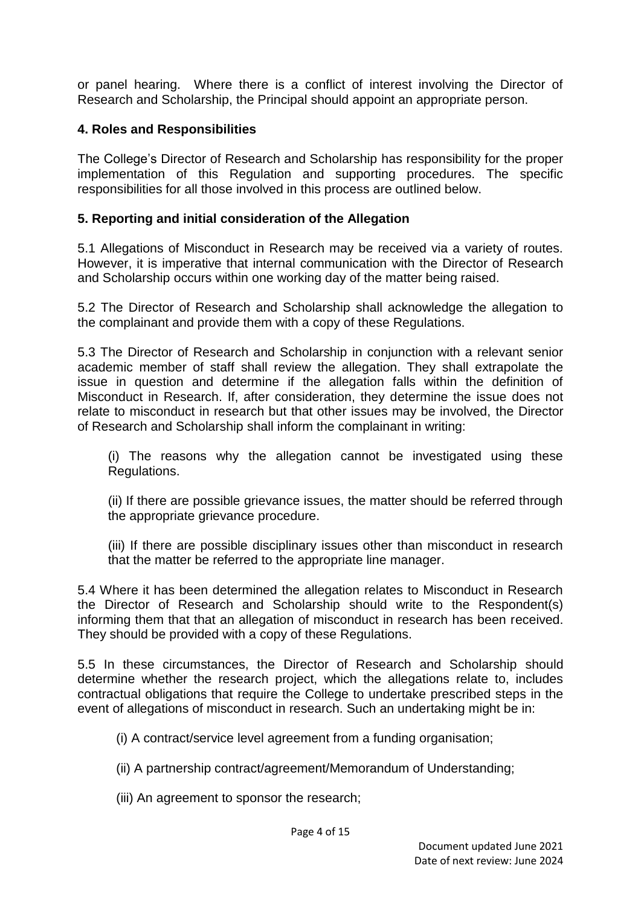or panel hearing. Where there is a conflict of interest involving the Director of Research and Scholarship, the Principal should appoint an appropriate person.

## **4. Roles and Responsibilities**

The College's Director of Research and Scholarship has responsibility for the proper implementation of this Regulation and supporting procedures. The specific responsibilities for all those involved in this process are outlined below.

## **5. Reporting and initial consideration of the Allegation**

5.1 Allegations of Misconduct in Research may be received via a variety of routes. However, it is imperative that internal communication with the Director of Research and Scholarship occurs within one working day of the matter being raised.

5.2 The Director of Research and Scholarship shall acknowledge the allegation to the complainant and provide them with a copy of these Regulations.

5.3 The Director of Research and Scholarship in conjunction with a relevant senior academic member of staff shall review the allegation. They shall extrapolate the issue in question and determine if the allegation falls within the definition of Misconduct in Research. If, after consideration, they determine the issue does not relate to misconduct in research but that other issues may be involved, the Director of Research and Scholarship shall inform the complainant in writing:

(i) The reasons why the allegation cannot be investigated using these Regulations.

(ii) If there are possible grievance issues, the matter should be referred through the appropriate grievance procedure.

(iii) If there are possible disciplinary issues other than misconduct in research that the matter be referred to the appropriate line manager.

5.4 Where it has been determined the allegation relates to Misconduct in Research the Director of Research and Scholarship should write to the Respondent(s) informing them that that an allegation of misconduct in research has been received. They should be provided with a copy of these Regulations.

5.5 In these circumstances, the Director of Research and Scholarship should determine whether the research project, which the allegations relate to, includes contractual obligations that require the College to undertake prescribed steps in the event of allegations of misconduct in research. Such an undertaking might be in:

(i) A contract/service level agreement from a funding organisation;

(ii) A partnership contract/agreement/Memorandum of Understanding;

(iii) An agreement to sponsor the research;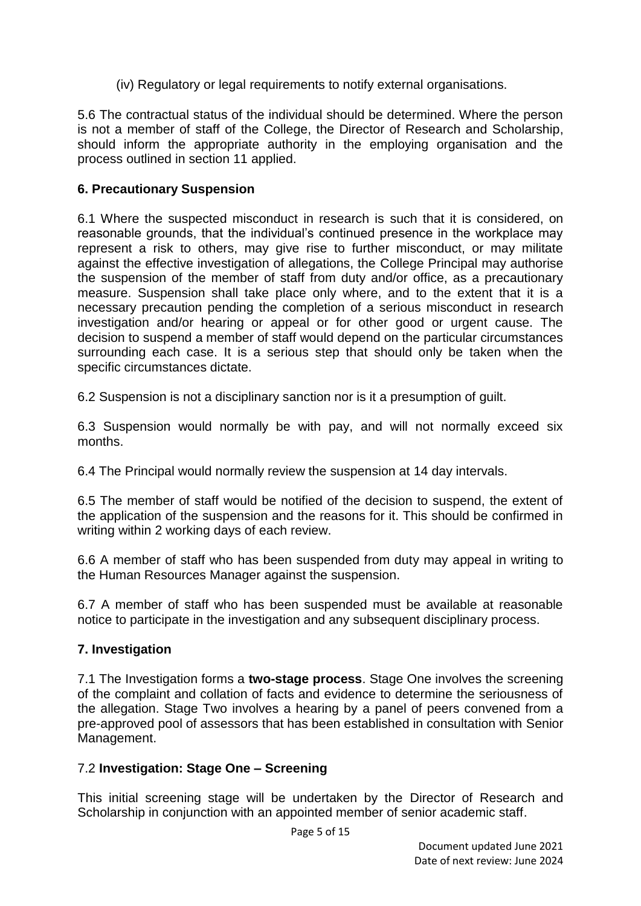(iv) Regulatory or legal requirements to notify external organisations.

5.6 The contractual status of the individual should be determined. Where the person is not a member of staff of the College, the Director of Research and Scholarship, should inform the appropriate authority in the employing organisation and the process outlined in section 11 applied.

#### **6. Precautionary Suspension**

6.1 Where the suspected misconduct in research is such that it is considered, on reasonable grounds, that the individual's continued presence in the workplace may represent a risk to others, may give rise to further misconduct, or may militate against the effective investigation of allegations, the College Principal may authorise the suspension of the member of staff from duty and/or office, as a precautionary measure. Suspension shall take place only where, and to the extent that it is a necessary precaution pending the completion of a serious misconduct in research investigation and/or hearing or appeal or for other good or urgent cause. The decision to suspend a member of staff would depend on the particular circumstances surrounding each case. It is a serious step that should only be taken when the specific circumstances dictate.

6.2 Suspension is not a disciplinary sanction nor is it a presumption of guilt.

6.3 Suspension would normally be with pay, and will not normally exceed six months.

6.4 The Principal would normally review the suspension at 14 day intervals.

6.5 The member of staff would be notified of the decision to suspend, the extent of the application of the suspension and the reasons for it. This should be confirmed in writing within 2 working days of each review.

6.6 A member of staff who has been suspended from duty may appeal in writing to the Human Resources Manager against the suspension.

6.7 A member of staff who has been suspended must be available at reasonable notice to participate in the investigation and any subsequent disciplinary process.

## **7. Investigation**

7.1 The Investigation forms a **two-stage process**. Stage One involves the screening of the complaint and collation of facts and evidence to determine the seriousness of the allegation. Stage Two involves a hearing by a panel of peers convened from a pre-approved pool of assessors that has been established in consultation with Senior Management.

## 7.2 **Investigation: Stage One – Screening**

This initial screening stage will be undertaken by the Director of Research and Scholarship in conjunction with an appointed member of senior academic staff.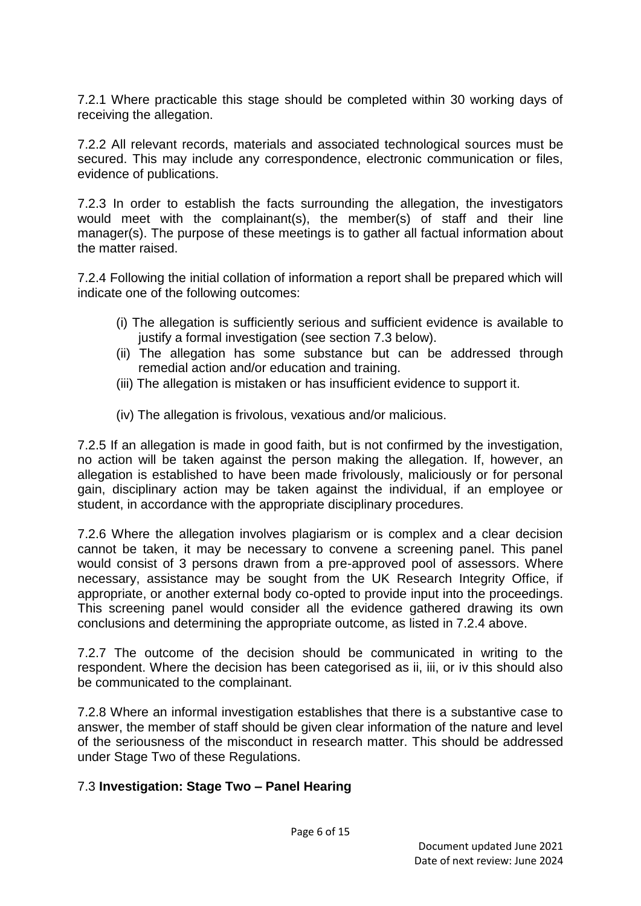7.2.1 Where practicable this stage should be completed within 30 working days of receiving the allegation.

7.2.2 All relevant records, materials and associated technological sources must be secured. This may include any correspondence, electronic communication or files. evidence of publications.

7.2.3 In order to establish the facts surrounding the allegation, the investigators would meet with the complainant(s), the member(s) of staff and their line manager(s). The purpose of these meetings is to gather all factual information about the matter raised.

7.2.4 Following the initial collation of information a report shall be prepared which will indicate one of the following outcomes:

- (i) The allegation is sufficiently serious and sufficient evidence is available to justify a formal investigation (see section 7.3 below).
- (ii) The allegation has some substance but can be addressed through remedial action and/or education and training.
- (iii) The allegation is mistaken or has insufficient evidence to support it.
- (iv) The allegation is frivolous, vexatious and/or malicious.

7.2.5 If an allegation is made in good faith, but is not confirmed by the investigation, no action will be taken against the person making the allegation. If, however, an allegation is established to have been made frivolously, maliciously or for personal gain, disciplinary action may be taken against the individual, if an employee or student, in accordance with the appropriate disciplinary procedures.

7.2.6 Where the allegation involves plagiarism or is complex and a clear decision cannot be taken, it may be necessary to convene a screening panel. This panel would consist of 3 persons drawn from a pre-approved pool of assessors. Where necessary, assistance may be sought from the UK Research Integrity Office, if appropriate, or another external body co-opted to provide input into the proceedings. This screening panel would consider all the evidence gathered drawing its own conclusions and determining the appropriate outcome, as listed in 7.2.4 above.

7.2.7 The outcome of the decision should be communicated in writing to the respondent. Where the decision has been categorised as ii, iii, or iv this should also be communicated to the complainant.

7.2.8 Where an informal investigation establishes that there is a substantive case to answer, the member of staff should be given clear information of the nature and level of the seriousness of the misconduct in research matter. This should be addressed under Stage Two of these Regulations.

## 7.3 **Investigation: Stage Two – Panel Hearing**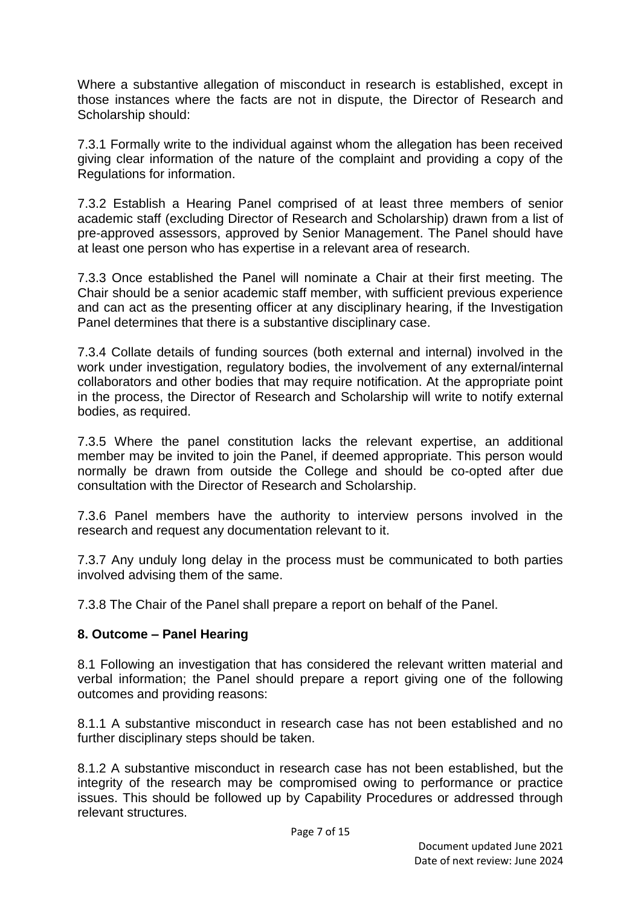Where a substantive allegation of misconduct in research is established, except in those instances where the facts are not in dispute, the Director of Research and Scholarship should:

7.3.1 Formally write to the individual against whom the allegation has been received giving clear information of the nature of the complaint and providing a copy of the Regulations for information.

7.3.2 Establish a Hearing Panel comprised of at least three members of senior academic staff (excluding Director of Research and Scholarship) drawn from a list of pre-approved assessors, approved by Senior Management. The Panel should have at least one person who has expertise in a relevant area of research.

7.3.3 Once established the Panel will nominate a Chair at their first meeting. The Chair should be a senior academic staff member, with sufficient previous experience and can act as the presenting officer at any disciplinary hearing, if the Investigation Panel determines that there is a substantive disciplinary case.

7.3.4 Collate details of funding sources (both external and internal) involved in the work under investigation, regulatory bodies, the involvement of any external/internal collaborators and other bodies that may require notification. At the appropriate point in the process, the Director of Research and Scholarship will write to notify external bodies, as required.

7.3.5 Where the panel constitution lacks the relevant expertise, an additional member may be invited to join the Panel, if deemed appropriate. This person would normally be drawn from outside the College and should be co-opted after due consultation with the Director of Research and Scholarship.

7.3.6 Panel members have the authority to interview persons involved in the research and request any documentation relevant to it.

7.3.7 Any unduly long delay in the process must be communicated to both parties involved advising them of the same.

7.3.8 The Chair of the Panel shall prepare a report on behalf of the Panel.

## **8. Outcome – Panel Hearing**

8.1 Following an investigation that has considered the relevant written material and verbal information; the Panel should prepare a report giving one of the following outcomes and providing reasons:

8.1.1 A substantive misconduct in research case has not been established and no further disciplinary steps should be taken.

8.1.2 A substantive misconduct in research case has not been established, but the integrity of the research may be compromised owing to performance or practice issues. This should be followed up by Capability Procedures or addressed through relevant structures.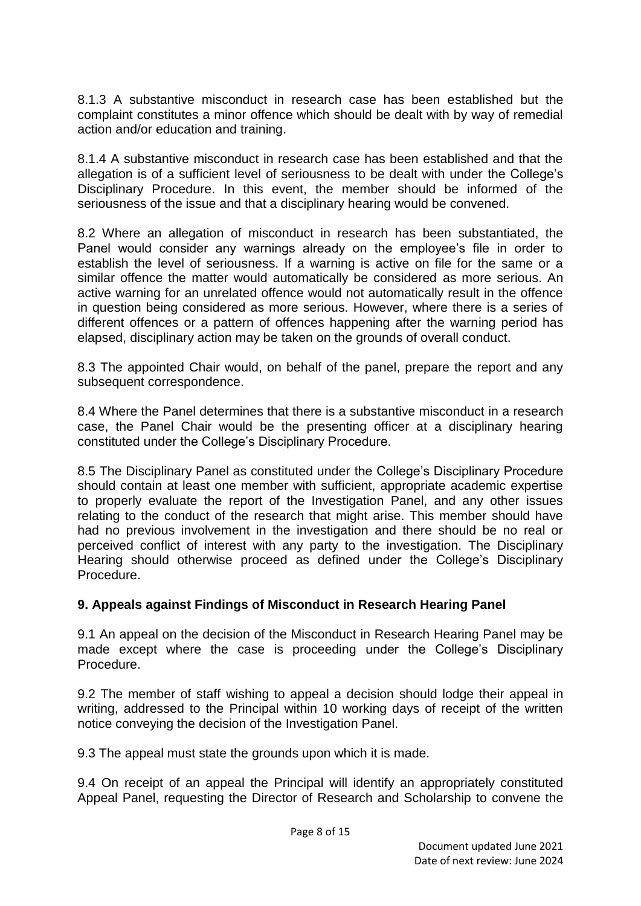8.1.3 A substantive misconduct in research case has been established but the complaint constitutes a minor offence which should be dealt with by way of remedial action and/or education and training.

8.1.4 A substantive misconduct in research case has been established and that the allegation is of a sufficient level of seriousness to be dealt with under the College's Disciplinary Procedure. In this event, the member should be informed of the seriousness of the issue and that a disciplinary hearing would be convened.

8.2 Where an allegation of misconduct in research has been substantiated, the Panel would consider any warnings already on the employee's file in order to establish the level of seriousness. If a warning is active on file for the same or a similar offence the matter would automatically be considered as more serious. An active warning for an unrelated offence would not automatically result in the offence in question being considered as more serious. However, where there is a series of different offences or a pattern of offences happening after the warning period has elapsed, disciplinary action may be taken on the grounds of overall conduct.

8.3 The appointed Chair would, on behalf of the panel, prepare the report and any subsequent correspondence.

8.4 Where the Panel determines that there is a substantive misconduct in a research case, the Panel Chair would be the presenting officer at a disciplinary hearing constituted under the College's Disciplinary Procedure.

8.5 The Disciplinary Panel as constituted under the College's Disciplinary Procedure should contain at least one member with sufficient, appropriate academic expertise to properly evaluate the report of the Investigation Panel, and any other issues relating to the conduct of the research that might arise. This member should have had no previous involvement in the investigation and there should be no real or perceived conflict of interest with any party to the investigation. The Disciplinary Hearing should otherwise proceed as defined under the College's Disciplinary Procedure.

## **9. Appeals against Findings of Misconduct in Research Hearing Panel**

9.1 An appeal on the decision of the Misconduct in Research Hearing Panel may be made except where the case is proceeding under the College's Disciplinary Procedure.

9.2 The member of staff wishing to appeal a decision should lodge their appeal in writing, addressed to the Principal within 10 working days of receipt of the written notice conveying the decision of the Investigation Panel.

9.3 The appeal must state the grounds upon which it is made.

9.4 On receipt of an appeal the Principal will identify an appropriately constituted Appeal Panel, requesting the Director of Research and Scholarship to convene the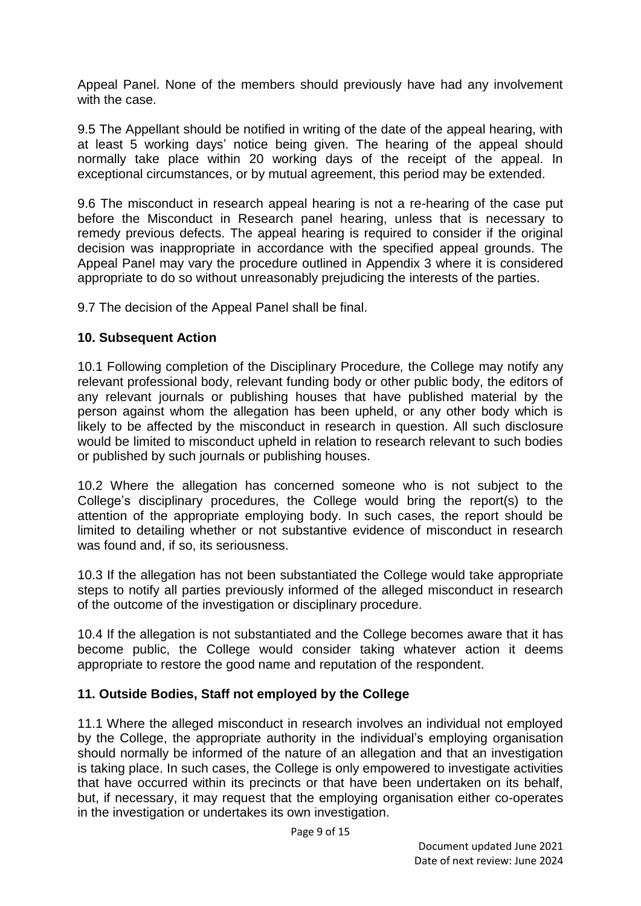Appeal Panel. None of the members should previously have had any involvement with the case.

9.5 The Appellant should be notified in writing of the date of the appeal hearing, with at least 5 working days' notice being given. The hearing of the appeal should normally take place within 20 working days of the receipt of the appeal. In exceptional circumstances, or by mutual agreement, this period may be extended.

9.6 The misconduct in research appeal hearing is not a re-hearing of the case put before the Misconduct in Research panel hearing, unless that is necessary to remedy previous defects. The appeal hearing is required to consider if the original decision was inappropriate in accordance with the specified appeal grounds. The Appeal Panel may vary the procedure outlined in Appendix 3 where it is considered appropriate to do so without unreasonably prejudicing the interests of the parties.

9.7 The decision of the Appeal Panel shall be final.

## **10. Subsequent Action**

10.1 Following completion of the Disciplinary Procedure*,* the College may notify any relevant professional body, relevant funding body or other public body, the editors of any relevant journals or publishing houses that have published material by the person against whom the allegation has been upheld, or any other body which is likely to be affected by the misconduct in research in question. All such disclosure would be limited to misconduct upheld in relation to research relevant to such bodies or published by such journals or publishing houses.

10.2 Where the allegation has concerned someone who is not subject to the College's disciplinary procedures, the College would bring the report(s) to the attention of the appropriate employing body. In such cases, the report should be limited to detailing whether or not substantive evidence of misconduct in research was found and, if so, its seriousness.

10.3 If the allegation has not been substantiated the College would take appropriate steps to notify all parties previously informed of the alleged misconduct in research of the outcome of the investigation or disciplinary procedure.

10.4 If the allegation is not substantiated and the College becomes aware that it has become public, the College would consider taking whatever action it deems appropriate to restore the good name and reputation of the respondent.

## **11. Outside Bodies, Staff not employed by the College**

11.1 Where the alleged misconduct in research involves an individual not employed by the College, the appropriate authority in the individual's employing organisation should normally be informed of the nature of an allegation and that an investigation is taking place. In such cases, the College is only empowered to investigate activities that have occurred within its precincts or that have been undertaken on its behalf, but, if necessary, it may request that the employing organisation either co-operates in the investigation or undertakes its own investigation.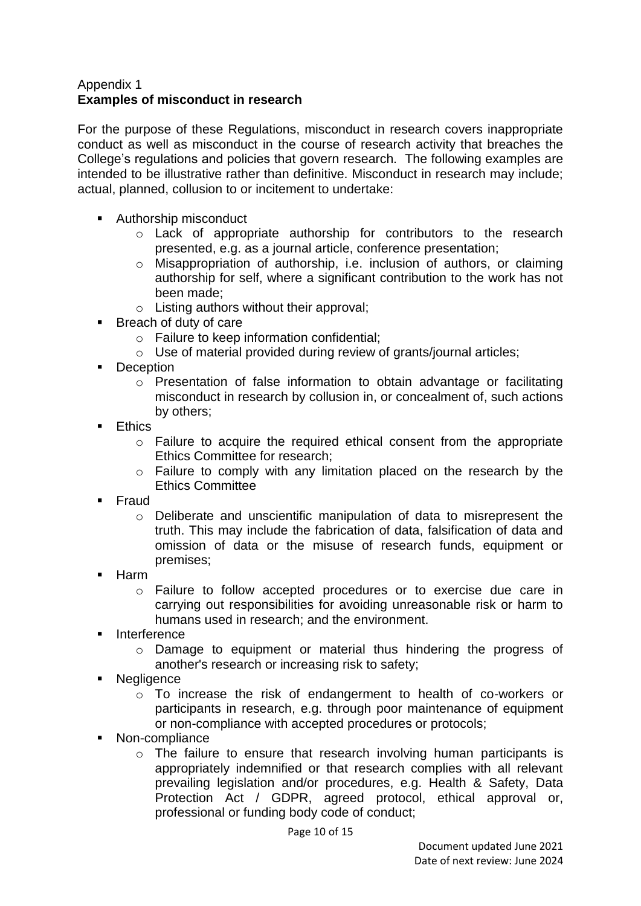#### Appendix 1 **Examples of misconduct in research**

For the purpose of these Regulations, misconduct in research covers inappropriate conduct as well as misconduct in the course of research activity that breaches the College's regulations and policies that govern research. The following examples are intended to be illustrative rather than definitive. Misconduct in research may include; actual, planned, collusion to or incitement to undertake:

- Authorship misconduct
	- o Lack of appropriate authorship for contributors to the research presented, e.g. as a journal article, conference presentation;
	- o Misappropriation of authorship, i.e. inclusion of authors, or claiming authorship for self, where a significant contribution to the work has not been made;
	- o Listing authors without their approval;
- Breach of duty of care
	- o Failure to keep information confidential;
	- o Use of material provided during review of grants/journal articles;
- **Deception** 
	- o Presentation of false information to obtain advantage or facilitating misconduct in research by collusion in, or concealment of, such actions by others;
- **Ethics** 
	- o Failure to acquire the required ethical consent from the appropriate Ethics Committee for research;
	- o Failure to comply with any limitation placed on the research by the Ethics Committee
- **Fraud** 
	- o Deliberate and unscientific manipulation of data to misrepresent the truth. This may include the fabrication of data, falsification of data and omission of data or the misuse of research funds, equipment or premises;
- Harm
	- o Failure to follow accepted procedures or to exercise due care in carrying out responsibilities for avoiding unreasonable risk or harm to humans used in research; and the environment.
- Interference
	- o Damage to equipment or material thus hindering the progress of another's research or increasing risk to safety;
- **Negligence** 
	- o To increase the risk of endangerment to health of co-workers or participants in research, e.g. through poor maintenance of equipment or non-compliance with accepted procedures or protocols;
- Non-compliance
	- o The failure to ensure that research involving human participants is appropriately indemnified or that research complies with all relevant prevailing legislation and/or procedures, e.g. Health & Safety, Data Protection Act / GDPR, agreed protocol, ethical approval or, professional or funding body code of conduct;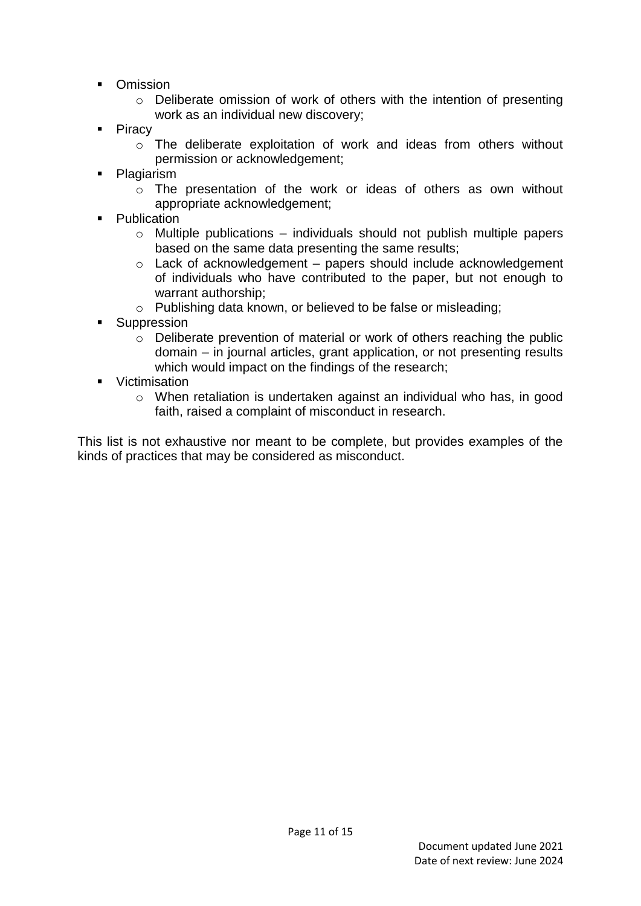- **Comission** 
	- o Deliberate omission of work of others with the intention of presenting work as an individual new discovery;
- $\blacksquare$  Piracy
	- o The deliberate exploitation of work and ideas from others without permission or acknowledgement;
- Plagiarism
	- o The presentation of the work or ideas of others as own without appropriate acknowledgement;
- Publication
	- $\circ$  Multiple publications individuals should not publish multiple papers based on the same data presenting the same results;
	- o Lack of acknowledgement papers should include acknowledgement of individuals who have contributed to the paper, but not enough to warrant authorship;
	- o Publishing data known, or believed to be false or misleading;
- **Suppression** 
	- o Deliberate prevention of material or work of others reaching the public domain – in journal articles, grant application, or not presenting results which would impact on the findings of the research;
- **•** Victimisation
	- o When retaliation is undertaken against an individual who has, in good faith, raised a complaint of misconduct in research.

This list is not exhaustive nor meant to be complete, but provides examples of the kinds of practices that may be considered as misconduct.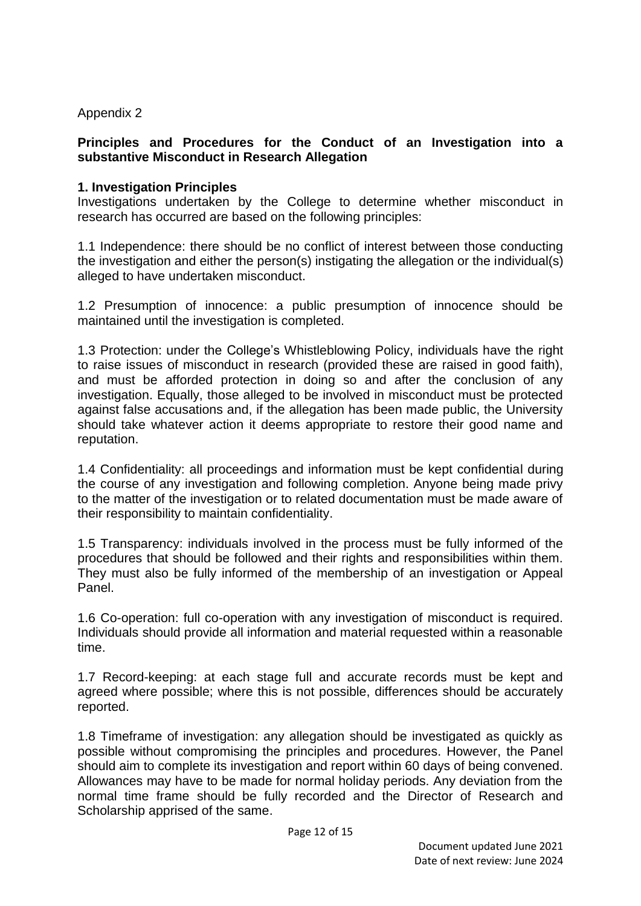Appendix 2

## **Principles and Procedures for the Conduct of an Investigation into a substantive Misconduct in Research Allegation**

#### **1. Investigation Principles**

Investigations undertaken by the College to determine whether misconduct in research has occurred are based on the following principles:

1.1 Independence: there should be no conflict of interest between those conducting the investigation and either the person(s) instigating the allegation or the individual(s) alleged to have undertaken misconduct.

1.2 Presumption of innocence: a public presumption of innocence should be maintained until the investigation is completed.

1.3 Protection: under the College's Whistleblowing Policy, individuals have the right to raise issues of misconduct in research (provided these are raised in good faith), and must be afforded protection in doing so and after the conclusion of any investigation. Equally, those alleged to be involved in misconduct must be protected against false accusations and, if the allegation has been made public, the University should take whatever action it deems appropriate to restore their good name and reputation.

1.4 Confidentiality: all proceedings and information must be kept confidential during the course of any investigation and following completion. Anyone being made privy to the matter of the investigation or to related documentation must be made aware of their responsibility to maintain confidentiality.

1.5 Transparency: individuals involved in the process must be fully informed of the procedures that should be followed and their rights and responsibilities within them. They must also be fully informed of the membership of an investigation or Appeal Panel.

1.6 Co-operation: full co-operation with any investigation of misconduct is required. Individuals should provide all information and material requested within a reasonable time.

1.7 Record-keeping: at each stage full and accurate records must be kept and agreed where possible; where this is not possible, differences should be accurately reported.

1.8 Timeframe of investigation: any allegation should be investigated as quickly as possible without compromising the principles and procedures. However, the Panel should aim to complete its investigation and report within 60 days of being convened. Allowances may have to be made for normal holiday periods. Any deviation from the normal time frame should be fully recorded and the Director of Research and Scholarship apprised of the same.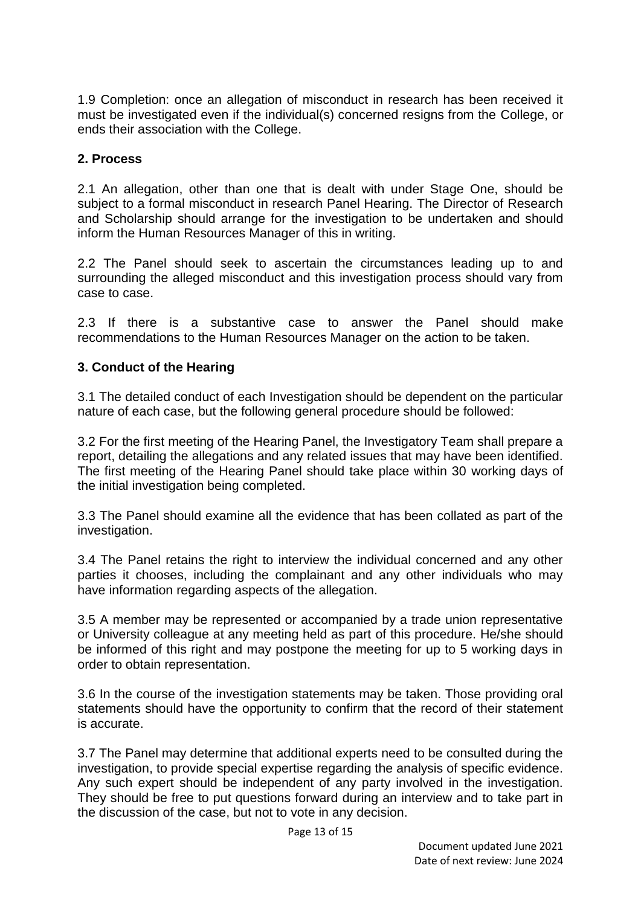1.9 Completion: once an allegation of misconduct in research has been received it must be investigated even if the individual(s) concerned resigns from the College, or ends their association with the College.

#### **2. Process**

2.1 An allegation, other than one that is dealt with under Stage One, should be subject to a formal misconduct in research Panel Hearing. The Director of Research and Scholarship should arrange for the investigation to be undertaken and should inform the Human Resources Manager of this in writing.

2.2 The Panel should seek to ascertain the circumstances leading up to and surrounding the alleged misconduct and this investigation process should vary from case to case.

2.3 If there is a substantive case to answer the Panel should make recommendations to the Human Resources Manager on the action to be taken.

#### **3. Conduct of the Hearing**

3.1 The detailed conduct of each Investigation should be dependent on the particular nature of each case, but the following general procedure should be followed:

3.2 For the first meeting of the Hearing Panel, the Investigatory Team shall prepare a report, detailing the allegations and any related issues that may have been identified. The first meeting of the Hearing Panel should take place within 30 working days of the initial investigation being completed.

3.3 The Panel should examine all the evidence that has been collated as part of the investigation.

3.4 The Panel retains the right to interview the individual concerned and any other parties it chooses, including the complainant and any other individuals who may have information regarding aspects of the allegation.

3.5 A member may be represented or accompanied by a trade union representative or University colleague at any meeting held as part of this procedure. He/she should be informed of this right and may postpone the meeting for up to 5 working days in order to obtain representation.

3.6 In the course of the investigation statements may be taken. Those providing oral statements should have the opportunity to confirm that the record of their statement is accurate.

3.7 The Panel may determine that additional experts need to be consulted during the investigation, to provide special expertise regarding the analysis of specific evidence. Any such expert should be independent of any party involved in the investigation. They should be free to put questions forward during an interview and to take part in the discussion of the case, but not to vote in any decision.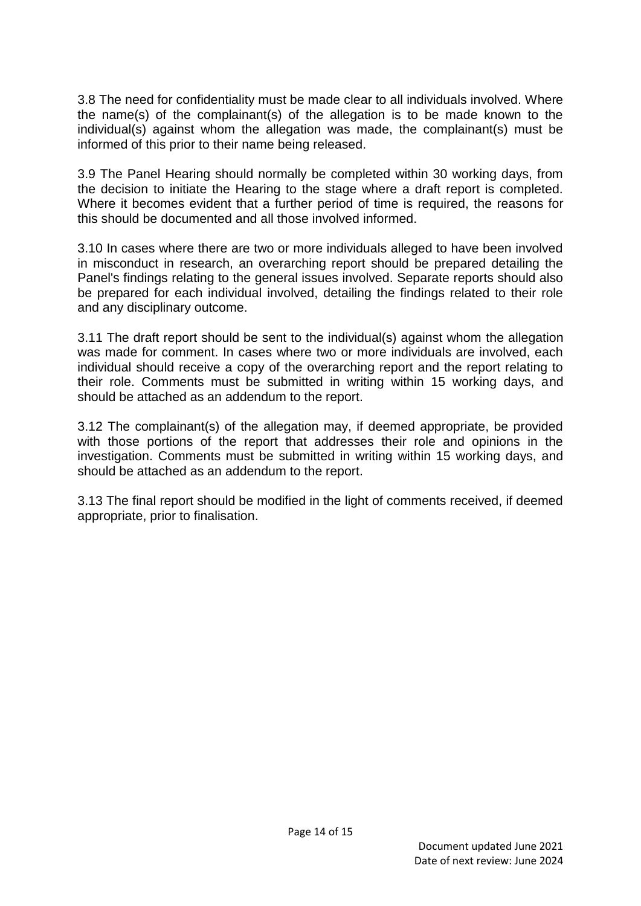3.8 The need for confidentiality must be made clear to all individuals involved. Where the name(s) of the complainant(s) of the allegation is to be made known to the individual(s) against whom the allegation was made, the complainant(s) must be informed of this prior to their name being released.

3.9 The Panel Hearing should normally be completed within 30 working days, from the decision to initiate the Hearing to the stage where a draft report is completed. Where it becomes evident that a further period of time is required, the reasons for this should be documented and all those involved informed.

3.10 In cases where there are two or more individuals alleged to have been involved in misconduct in research, an overarching report should be prepared detailing the Panel's findings relating to the general issues involved. Separate reports should also be prepared for each individual involved, detailing the findings related to their role and any disciplinary outcome.

3.11 The draft report should be sent to the individual(s) against whom the allegation was made for comment. In cases where two or more individuals are involved, each individual should receive a copy of the overarching report and the report relating to their role. Comments must be submitted in writing within 15 working days, and should be attached as an addendum to the report.

3.12 The complainant(s) of the allegation may, if deemed appropriate, be provided with those portions of the report that addresses their role and opinions in the investigation. Comments must be submitted in writing within 15 working days, and should be attached as an addendum to the report.

3.13 The final report should be modified in the light of comments received, if deemed appropriate, prior to finalisation.